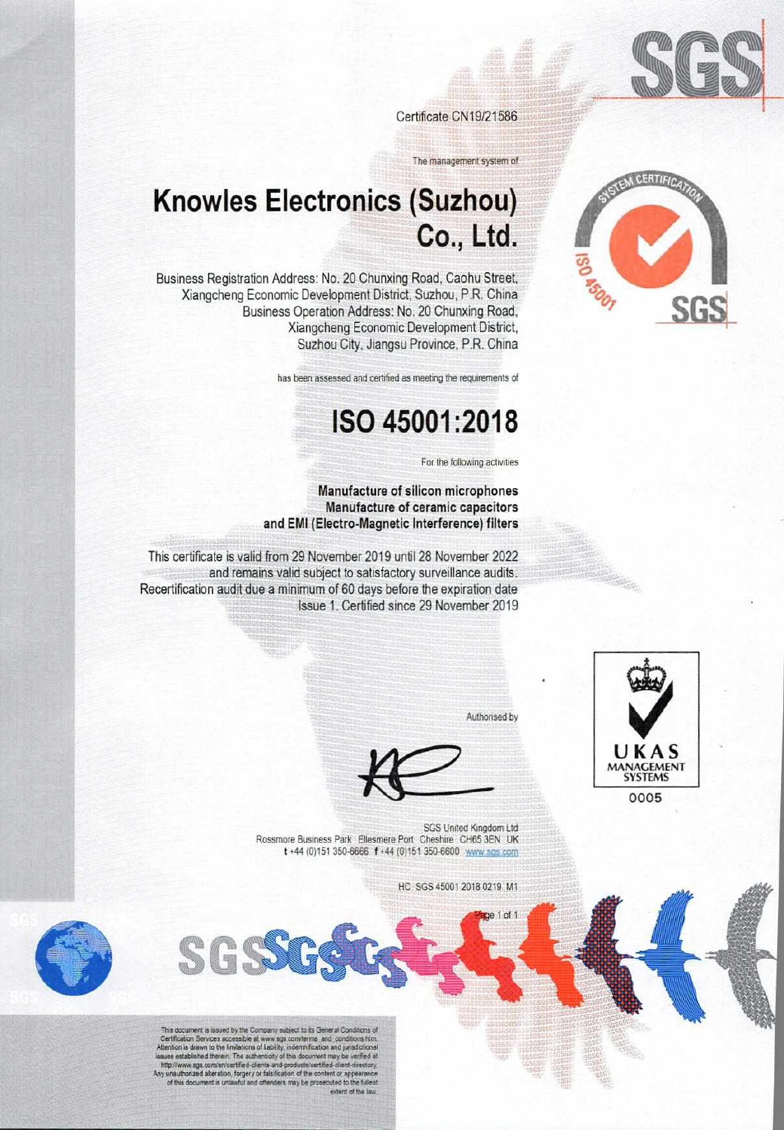

Certificate CN19/21586

The management system of

## **Knowles Electronics (Suzhou)** Co., Ltd.

Business Registration Address: No. 20 Chunxing Road, Caohu Street, Xiangcheng Economic Development District, Suzhou, P.R. China Business Operation Address: No. 20 Chunxing Road, Xiangcheng Economic Development District, Suzhou City, Jiangsu Province, P.R. China

has been assessed and certified as meeting the requirements of

## ISO 45001:2018

For the following activities

#### Manufacture of silicon microphones Manufacture of ceramic capacitors and EMI (Electro-Magnetic Interference) filters

This certificate is valid from 29 November 2019 until 28 November 2022 and remains valid subject to satisfactory surveillance audits. Recertification audit due a minimum of 60 days before the expiration date Issue 1. Certified since 29 November 2019



Authorised by

 $1 of$ 

SGS United Kingdom Ltd Rossmore Business Park Ellesmere Port Cheshire CH65 3EN UK t +44 (0) 151 350-6666 f +44 (0) 151 350-6600 www.sgs.com

HC SGS 45001 2018 0219 M1



This document is issued by the Company subject to its General Conditions of<br>Certification Services accessible at www.sgs.com/terms\_and\_conditions htm.<br>Attention is drawn to the limitations of liability, indemnification and http://www.aga.com/en/certified-clients-and-products/certified-client-directory.<br>Y unauthorized alteration, forgery or faisification of the content or appearance<br>of this document is unlawful and offenders may be prosecuted extent of the law

SGS